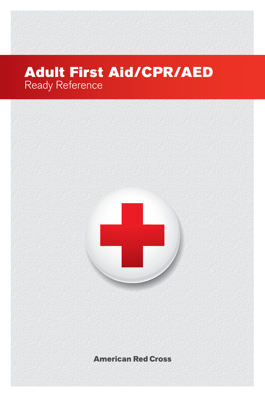# Adult First Aid/CPR/AEd Ready Reference

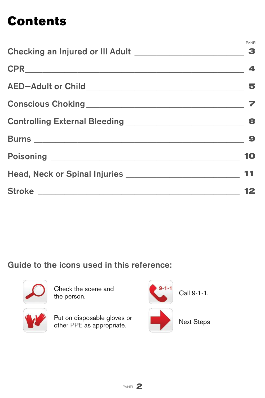# Contents

|                      | PANEL                |
|----------------------|----------------------|
|                      | $\blacktriangleleft$ |
| AED-Adult or Child 5 |                      |
|                      |                      |
|                      |                      |
|                      |                      |
|                      | 10                   |
|                      | 11                   |
|                      |                      |

### Guide to the icons used in this reference:



Check the scene and the person.



Put on disposable gloves or other PPE as appropriate.

panel **2**

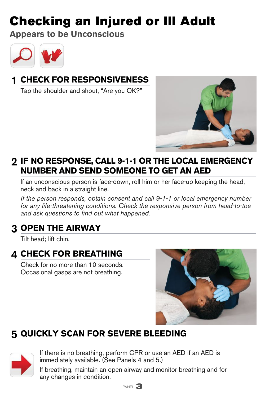# Checking an Injured or Ill Adult

**appears to be unconscious**



## **ChECK FOR RESPONSIVENESS**

Tap the shoulder and shout, "Are you OK?"



## **IF NO RESPONSE, Call 9-1-1 OR thE lOCal EmERgENCy NumbER aND SEND SOmEONE tO gEt aN aED**

If an unconscious person is face-down, roll him or her face-up keeping the head, neck and back in a straight line.

*If the person responds, obtain consent and call 9-1-1 or local emergency number for any life-threatening conditions. Check the responsive person from head-to-toe and ask questions to find out what happened.*

## **OPEN thE aIRWay**

Tilt head; lift chin.

## **ChECK FOR bREathINg**

Check for no more than 10 seconds. Occasional gasps are not breathing.



## **QuICKly SCaN FOR SEVERE blEEDINg**



If there is no breathing, perform CPR or use an AED if an AED is immediately available. (See Panels 4 and 5.)

If breathing, maintain an open airway and monitor breathing and for any changes in condition.

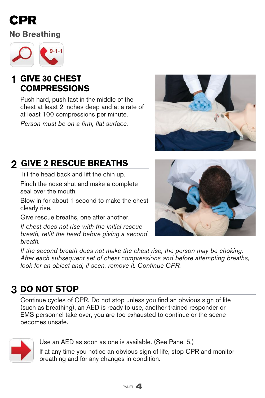# CPR

**No Breathing** 



### **gIVE 30 ChESt COmPRESSIONS**

Push hard, push fast in the middle of the chest at least 2 inches deep and at a rate of at least 100 compressions per minute.





# **gIVE 2 RESCuE bREathS**

Tilt the head back and lift the chin up.

Pinch the nose shut and make a complete seal over the mouth.

Blow in for about 1 second to make the chest clearly rise.

Give rescue breaths, one after another.

*If chest does not rise with the initial rescue breath, retilt the head before giving a second breath.* 



*If the second breath does not make the chest rise, the person may be choking. After each subsequent set of chest compressions and before attempting breaths, look for an object and, if seen, remove it. Continue CPR.*

# **DO NOt StOP**

Continue cycles of CPR. Do not stop unless you find an obvious sign of life (such as breathing), an AED is ready to use, another trained responder or EMS personnel take over, you are too exhausted to continue or the scene becomes unsafe.



Use an AED as soon as one is available. (See Panel 5.) If at any time you notice an obvious sign of life, stop CPR and monitor breathing and for any changes in condition.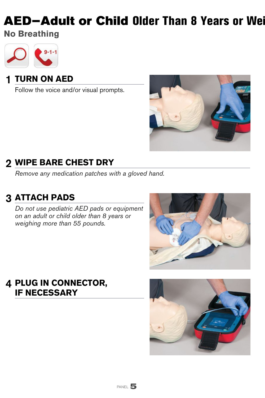# **AED-Adult or Child Older Than 8 Years or Wei**

**No Breathing** 



### **TURN ON AED**

Follow the voice and/or visual prompts.



## **2 WIPE BARE CHEST DRY**

Remove any medication patches with a gloved hand.

## **3 ATTACH PADS**

Do not use pediatric AED pads or equipment on an adult or child older than 8 years or weighing more than 55 pounds.



### **4 PLUG IN CONNECTOR, IF NECESSARY**

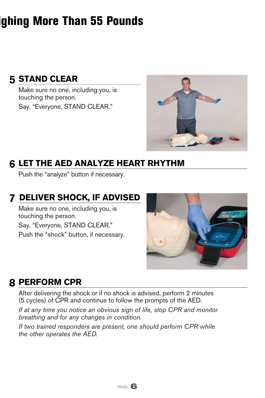# ghing More Than 55 Pounds

## **5 STAND CLEAR**

Make sure no one, including you, is touching the person. Say, "Everyone, STAND CLEAR."



## **lEt thE aED aNalyZE hEaRt Rhythm**

Push the "analyze" button if necessary.

### **DElIVER ShOCK, IF aDVISED**

Make sure no one, including you, is touching the person. Say, "Everyone, STAND CLEAR." Push the "shock" button, if necessary.



#### **PERFORm CPR**

After delivering the shock or if no shock is advised, perform 2 minutes (5 cycles) of CPR and continue to follow the prompts of the AED.

*If at any time you notice an obvious sign of life, stop CPR and monitor breathing and for any changes in condition.*

*If two trained responders are present, one should perform CPR while the other operates the AED.*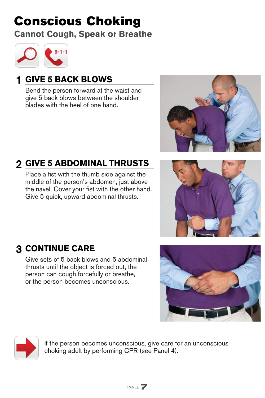# Conscious Choking

**Cannot Cough, Speak or breathe**



## **gIVE 5 baCK blOWS**

Bend the person forward at the waist and give 5 back blows between the shoulder blades with the heel of one hand.



# **gIVE 5 abDOmINal thRuStS**

Place a fist with the thumb side against the middle of the person's abdomen, just above the navel. Cover your fist with the other hand. Give 5 quick, upward abdominal thrusts.



# **2 CONTINUE CARE**

Give sets of 5 back blows and 5 abdominal thrusts until the object is forced out, the person can cough forcefully or breathe, or the person becomes unconscious.





If the person becomes unconscious, give care for an unconscious choking adult by performing CPR (see Panel 4).

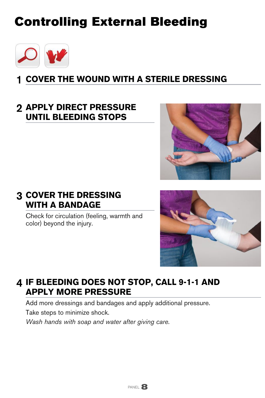# Controlling External Bleeding



### **COVER thE WOuND WIth a StERIlE DRESSINg**

#### **aPPly DIRECt PRESSuRE uNtIl blEEDINg StOPS**



### **COVER thE DRESSINg WIth a baNDagE**

Check for circulation (feeling, warmth and color) beyond the injury.



#### **IF blEEDINg DOES NOt StOP, Call 9-1-1 aND aPPly mORE PRESSuRE**

Add more dressings and bandages and apply additional pressure. Take steps to minimize shock.

*Wash hands with soap and water after giving care.* 

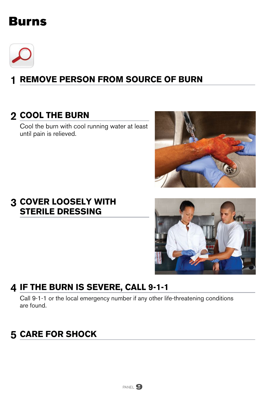# **Burns**



## **REMOVE PERSON FROM SOURCE OF BURN**

## **2 COOL THE BURN**

Cool the burn with cool running water at least until pain is relieved.



#### **3 COVER LOOSELY WITH STERILE DRESSING**



### 4 IF THE BURN IS SEVERE, CALL 9-1-1

Call 9-1-1 or the local emergency number if any other life-threatening conditions are found.

## **5 CARE FOR SHOCK**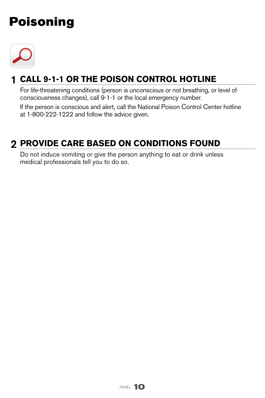# Poisoning



## **Call 9-1-1 OR thE POISON CONtROl hOtlINE**

For life-threatening conditions (person is unconscious or not breathing, or level of consciousness changes), call 9-1-1 or the local emergency number.

If the person is conscious and alert, call the National Poison Control Center hotline at 1-800-222-1222 and follow the advice given.

### **PROVIDE CaRE baSED ON CONDItIONS FOuND**

Do not induce vomiting or give the person anything to eat or drink unless medical professionals tell you to do so.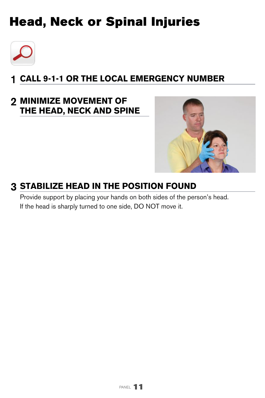# head, neck or Spinal Injuries



## **Call 9-1-1 OR thE lOCal EmERgENCy NumbER**

#### **mINImIZE mOVEmENt OF thE hEaD, NECK aND SPINE**



### **StabIlIZE hEaD IN thE POSItION FOuND**

Provide support by placing your hands on both sides of the person's head. If the head is sharply turned to one side, DO NOT move it.